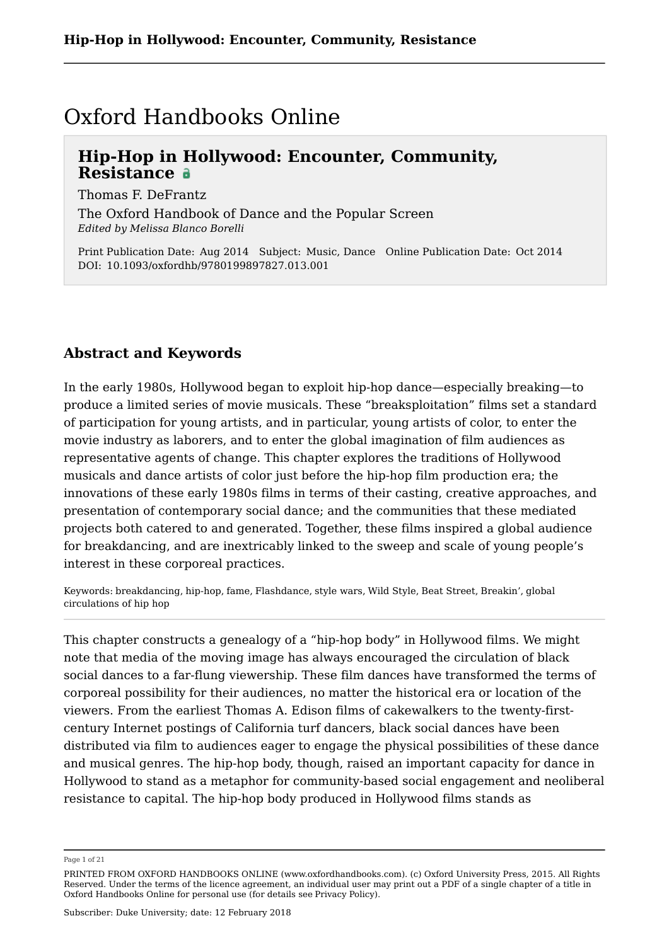## Oxford Handbooks Online

## **Hip-Hop in Hollywood: Encounter, Community, Resistance**

Thomas F. DeFrantz

The Oxford Handbook of Dance and the Popular Screen *Edited by Melissa Blanco Borelli*

Print Publication Date: Aug 2014 Subject: Music, Dance Online Publication Date: Oct 2014 DOI: 10.1093/oxfordhb/9780199897827.013.001

## **Abstract and Keywords**

In the early 1980s, Hollywood began to exploit hip-hop dance—especially breaking—to produce a limited series of movie musicals. These "breaksploitation" films set a standard of participation for young artists, and in particular, young artists of color, to enter the movie industry as laborers, and to enter the global imagination of film audiences as representative agents of change. This chapter explores the traditions of Hollywood musicals and dance artists of color just before the hip-hop film production era; the innovations of these early 1980s films in terms of their casting, creative approaches, and presentation of contemporary social dance; and the communities that these mediated projects both catered to and generated. Together, these films inspired a global audience for breakdancing, and are inextricably linked to the sweep and scale of young people's interest in these corporeal practices.

Keywords: breakdancing, hip-hop, fame, Flashdance, style wars, Wild Style, Beat Street, Breakin', global circulations of hip hop

This chapter constructs a genealogy of a "hip-hop body" in Hollywood films. We might note that media of the moving image has always encouraged the circulation of black social dances to a far-flung viewership. These film dances have transformed the terms of corporeal possibility for their audiences, no matter the historical era or location of the viewers. From the earliest Thomas A. Edison films of cakewalkers to the twenty-firstcentury Internet postings of California turf dancers, black social dances have been distributed via film to audiences eager to engage the physical possibilities of these dance and musical genres. The hip-hop body, though, raised an important capacity for dance in Hollywood to stand as a metaphor for community-based social engagement and neoliberal resistance to capital. The hip-hop body produced in Hollywood films stands as

Page 1 of 21

PRINTED FROM OXFORD HANDBOOKS ONLINE (www.oxfordhandbooks.com). (c) Oxford University Press, 2015. All Rights Reserved. Under the terms of the licence agreement, an individual user may print out a PDF of a single chapter of a title in Oxford Handbooks Online for personal use (for details see Privacy Policy).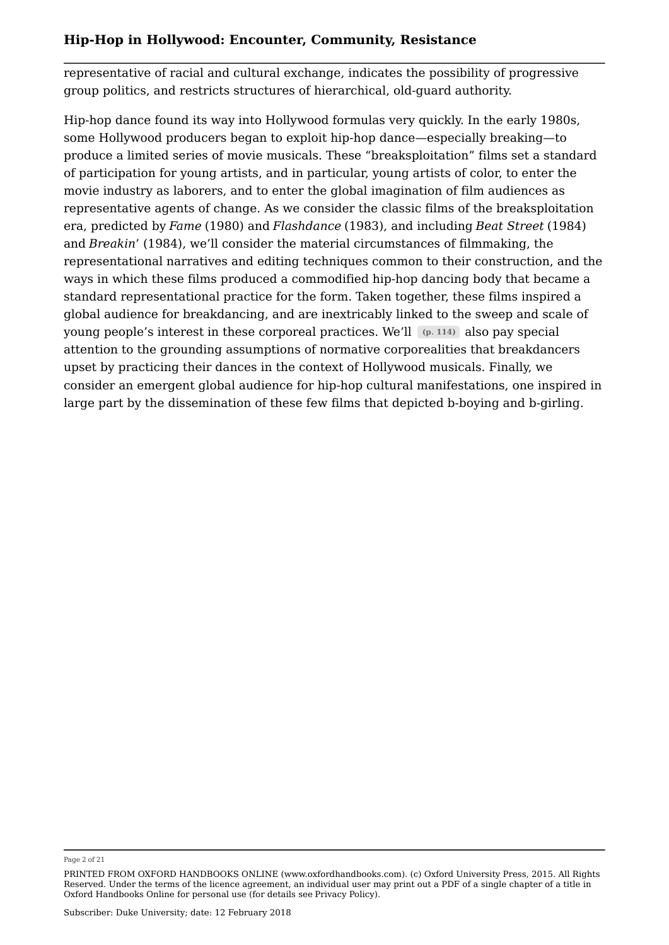representative of racial and cultural exchange, indicates the possibility of progressive group politics, and restricts structures of hierarchical, old-guard authority.

Hip-hop dance found its way into Hollywood formulas very quickly. In the early 1980s, some Hollywood producers began to exploit hip-hop dance—especially breaking—to produce a limited series of movie musicals. These "breaksploitation" films set a standard of participation for young artists, and in particular, young artists of color, to enter the movie industry as laborers, and to enter the global imagination of film audiences as representative agents of change. As we consider the classic films of the breaksploitation era, predicted by *Fame* (1980) and *Flashdance* (1983), and including *Beat Street* (1984) and *Breakin*' (1984), we'll consider the material circumstances of filmmaking, the representational narratives and editing techniques common to their construction, and the ways in which these films produced a commodified hip-hop dancing body that became a standard representational practice for the form. Taken together, these films inspired a global audience for breakdancing, and are inextricably linked to the sweep and scale of young people's interest in these corporeal practices. We'll (p. 114) also pay special attention to the grounding assumptions of normative corporealities that breakdancers upset by practicing their dances in the context of Hollywood musicals. Finally, we consider an emergent global audience for hip-hop cultural manifestations, one inspired in large part by the dissemination of these few films that depicted b-boying and b-girling.

Page 2 of 21

PRINTED FROM OXFORD HANDBOOKS ONLINE (www.oxfordhandbooks.com). (c) Oxford University Press, 2015. All Rights Reserved. Under the terms of the licence agreement, an individual user may print out a PDF of a single chapter of a title in Oxford Handbooks Online for personal use (for details see Privacy Policy).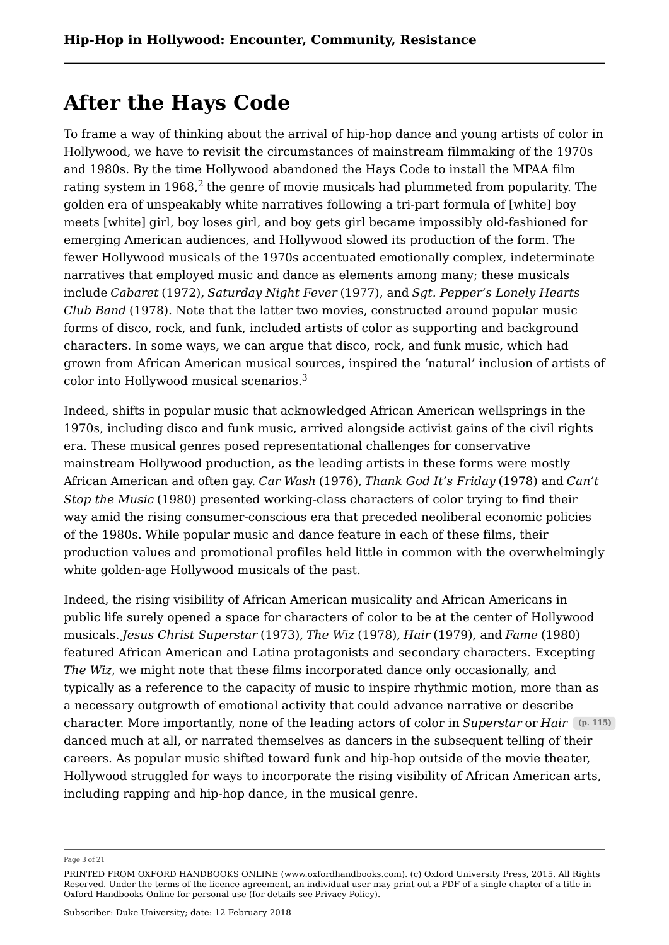## **After the Hays Code**

To frame a way of thinking about the arrival of hip-hop dance and young artists of color in Hollywood, we have to revisit the circumstances of mainstream filmmaking of the 1970s and 1980s. By the time Hollywood abandoned the Hays Code to install the MPAA film rating system in 1968, $^2$  the genre of movie musicals had plummeted from popularity. The golden era of unspeakably white narratives following a tri-part formula of [white] boy meets [white] girl, boy loses girl, and boy gets girl became impossibly old-fashioned for emerging American audiences, and Hollywood slowed its production of the form. The fewer Hollywood musicals of the 1970s accentuated emotionally complex, indeterminate narratives that employed music and dance as elements among many; these musicals include *Cabaret* (1972), *Saturday Night Fever* (1977), and *Sgt. Pepper's Lonely Hearts Club Band* (1978). Note that the latter two movies, constructed around popular music forms of disco, rock, and funk, included artists of color as supporting and background characters. In some ways, we can argue that disco, rock, and funk music, which had grown from African American musical sources, inspired the 'natural' inclusion of artists of color into Hollywood musical scenarios. 3

Indeed, shifts in popular music that acknowledged African American wellsprings in the 1970s, including disco and funk music, arrived alongside activist gains of the civil rights era. These musical genres posed representational challenges for conservative mainstream Hollywood production, as the leading artists in these forms were mostly African American and often gay. *Car Wash* (1976), *Thank God It's Friday* (1978) and *Can't Stop the Music* (1980) presented working-class characters of color trying to find their way amid the rising consumer-conscious era that preceded neoliberal economic policies of the 1980s. While popular music and dance feature in each of these films, their production values and promotional profiles held little in common with the overwhelmingly white golden-age Hollywood musicals of the past.

Indeed, the rising visibility of African American musicality and African Americans in public life surely opened a space for characters of color to be at the center of Hollywood musicals. *Jesus Christ Superstar* (1973), *The Wiz* (1978), *Hair* (1979), and *Fame* (1980) featured African American and Latina protagonists and secondary characters. Excepting *The Wiz*, we might note that these films incorporated dance only occasionally, and typically as a reference to the capacity of music to inspire rhythmic motion, more than as a necessary outgrowth of emotional activity that could advance narrative or describe character. More importantly, none of the leading actors of color in *Superstar* or *Hair* **(p. 115)** danced much at all, or narrated themselves as dancers in the subsequent telling of their careers. As popular music shifted toward funk and hip-hop outside of the movie theater, Hollywood struggled for ways to incorporate the rising visibility of African American arts, including rapping and hip-hop dance, in the musical genre.

Page 3 of 21

PRINTED FROM OXFORD HANDBOOKS ONLINE (www.oxfordhandbooks.com). (c) Oxford University Press, 2015. All Rights Reserved. Under the terms of the licence agreement, an individual user may print out a PDF of a single chapter of a title in Oxford Handbooks Online for personal use (for details see Privacy Policy).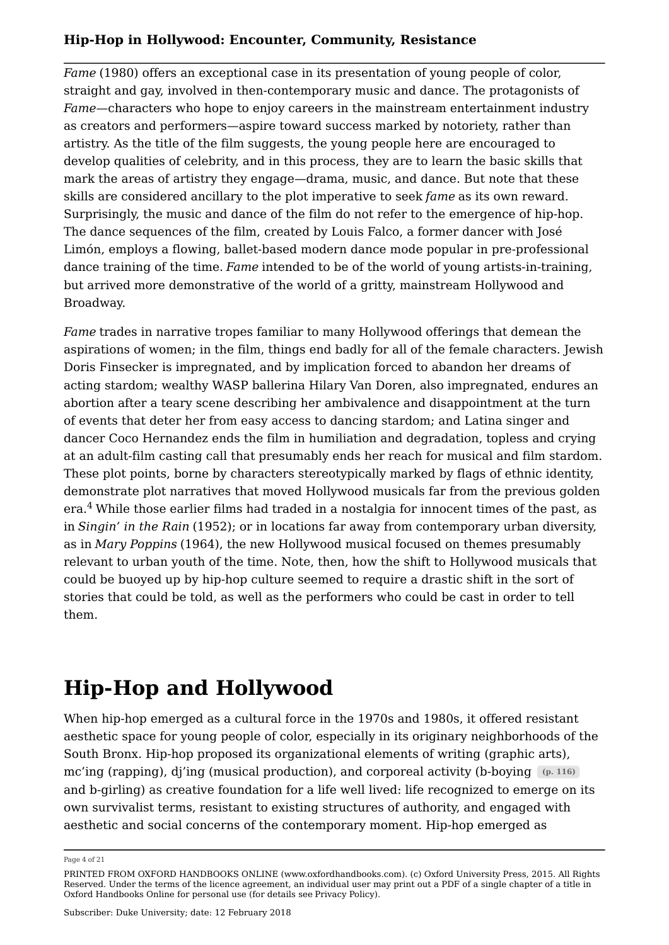*Fame* (1980) offers an exceptional case in its presentation of young people of color, straight and gay, involved in then-contemporary music and dance. The protagonists of *Fame*—characters who hope to enjoy careers in the mainstream entertainment industry as creators and performers—aspire toward success marked by notoriety, rather than artistry. As the title of the film suggests, the young people here are encouraged to develop qualities of celebrity, and in this process, they are to learn the basic skills that mark the areas of artistry they engage—drama, music, and dance. But note that these skills are considered ancillary to the plot imperative to seek *fame* as its own reward. Surprisingly, the music and dance of the film do not refer to the emergence of hip-hop. The dance sequences of the film, created by Louis Falco, a former dancer with José Limón, employs a flowing, ballet-based modern dance mode popular in pre-professional dance training of the time. *Fame* intended to be of the world of young artists-in-training, but arrived more demonstrative of the world of a gritty, mainstream Hollywood and Broadway.

*Fame* trades in narrative tropes familiar to many Hollywood offerings that demean the aspirations of women; in the film, things end badly for all of the female characters. Jewish Doris Finsecker is impregnated, and by implication forced to abandon her dreams of acting stardom; wealthy WASP ballerina Hilary Van Doren, also impregnated, endures an abortion after a teary scene describing her ambivalence and disappointment at the turn of events that deter her from easy access to dancing stardom; and Latina singer and dancer Coco Hernandez ends the film in humiliation and degradation, topless and crying at an adult-film casting call that presumably ends her reach for musical and film stardom. These plot points, borne by characters stereotypically marked by flags of ethnic identity, demonstrate plot narratives that moved Hollywood musicals far from the previous golden era.<sup>4</sup> While those earlier films had traded in a nostalgia for innocent times of the past, as in *Singin' in the Rain* (1952); or in locations far away from contemporary urban diversity, as in *Mary Poppins* (1964), the new Hollywood musical focused on themes presumably relevant to urban youth of the time. Note, then, how the shift to Hollywood musicals that could be buoyed up by hip-hop culture seemed to require a drastic shift in the sort of stories that could be told, as well as the performers who could be cast in order to tell them.

# **Hip-Hop and Hollywood**

When hip-hop emerged as a cultural force in the 1970s and 1980s, it offered resistant aesthetic space for young people of color, especially in its originary neighborhoods of the South Bronx. Hip-hop proposed its organizational elements of writing (graphic arts), mc'ing (rapping), dj'ing (musical production), and corporeal activity (b-boying **(p. 116)** and b-girling) as creative foundation for a life well lived: life recognized to emerge on its own survivalist terms, resistant to existing structures of authority, and engaged with aesthetic and social concerns of the contemporary moment. Hip-hop emerged as

Page 4 of 21

PRINTED FROM OXFORD HANDBOOKS ONLINE (www.oxfordhandbooks.com). (c) Oxford University Press, 2015. All Rights Reserved. Under the terms of the licence agreement, an individual user may print out a PDF of a single chapter of a title in Oxford Handbooks Online for personal use (for details see Privacy Policy).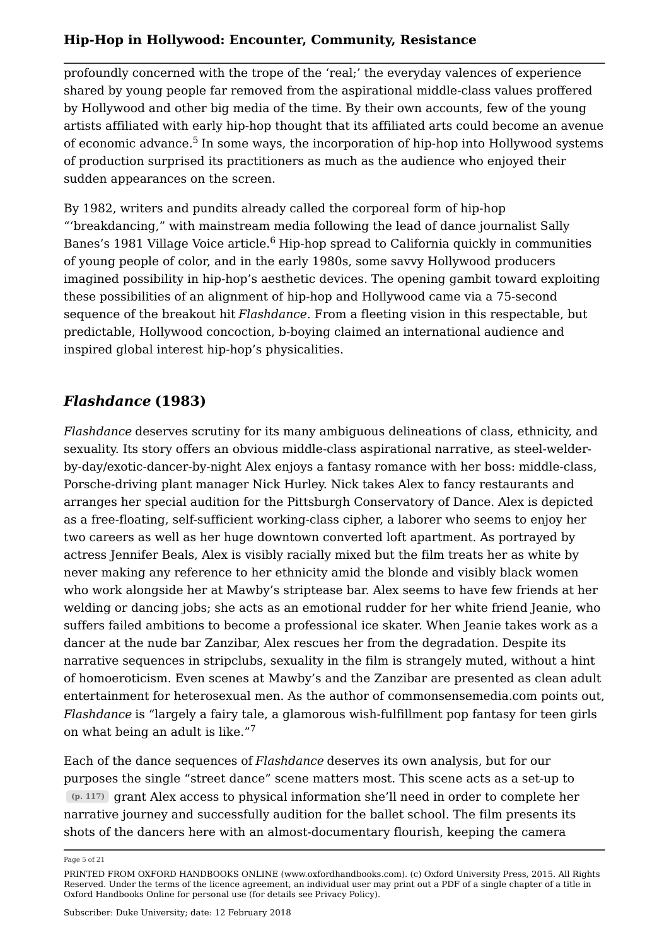profoundly concerned with the trope of the 'real;' the everyday valences of experience shared by young people far removed from the aspirational middle-class values proffered by Hollywood and other big media of the time. By their own accounts, few of the young artists affiliated with early hip-hop thought that its affiliated arts could become an avenue of economic advance.<sup>5</sup> In some ways, the incorporation of hip-hop into Hollywood systems of production surprised its practitioners as much as the audience who enjoyed their sudden appearances on the screen.

By 1982, writers and pundits already called the corporeal form of hip-hop "'breakdancing," with mainstream media following the lead of dance journalist Sally Banes's 1981 Village Voice article.<sup>6</sup> Hip-hop spread to California quickly in communities of young people of color, and in the early 1980s, some savvy Hollywood producers imagined possibility in hip-hop's aesthetic devices. The opening gambit toward exploiting these possibilities of an alignment of hip-hop and Hollywood came via a 75-second sequence of the breakout hit *Flashdance*. From a fleeting vision in this respectable, but predictable, Hollywood concoction, b-boying claimed an international audience and inspired global interest hip-hop's physicalities.

## *Flashdance* **(1983)**

*Flashdance* deserves scrutiny for its many ambiguous delineations of class, ethnicity, and sexuality. Its story offers an obvious middle-class aspirational narrative, as steel-welderby-day/exotic-dancer-by-night Alex enjoys a fantasy romance with her boss: middle-class, Porsche-driving plant manager Nick Hurley. Nick takes Alex to fancy restaurants and arranges her special audition for the Pittsburgh Conservatory of Dance. Alex is depicted as a free-floating, self-sufficient working-class cipher, a laborer who seems to enjoy her two careers as well as her huge downtown converted loft apartment. As portrayed by actress Jennifer Beals, Alex is visibly racially mixed but the film treats her as white by never making any reference to her ethnicity amid the blonde and visibly black women who work alongside her at Mawby's striptease bar. Alex seems to have few friends at her welding or dancing jobs; she acts as an emotional rudder for her white friend Jeanie, who suffers failed ambitions to become a professional ice skater. When Jeanie takes work as a dancer at the nude bar Zanzibar, Alex rescues her from the degradation. Despite its narrative sequences in stripclubs, sexuality in the film is strangely muted, without a hint of homoeroticism. Even scenes at Mawby's and the Zanzibar are presented as clean adult entertainment for heterosexual men. As the author of commonsensemedia.com points out, *Flashdance* is "largely a fairy tale, a glamorous wish-fulfillment pop fantasy for teen girls on what being an adult is like." 7

Each of the dance sequences of *Flashdance* deserves its own analysis, but for our purposes the single "street dance" scene matters most. This scene acts as a set-up to grant Alex access to physical information she'll need in order to complete her **(p. 117)** narrative journey and successfully audition for the ballet school. The film presents its shots of the dancers here with an almost-documentary flourish, keeping the camera

Page 5 of 21

PRINTED FROM OXFORD HANDBOOKS ONLINE (www.oxfordhandbooks.com). (c) Oxford University Press, 2015. All Rights Reserved. Under the terms of the licence agreement, an individual user may print out a PDF of a single chapter of a title in Oxford Handbooks Online for personal use (for details see Privacy Policy).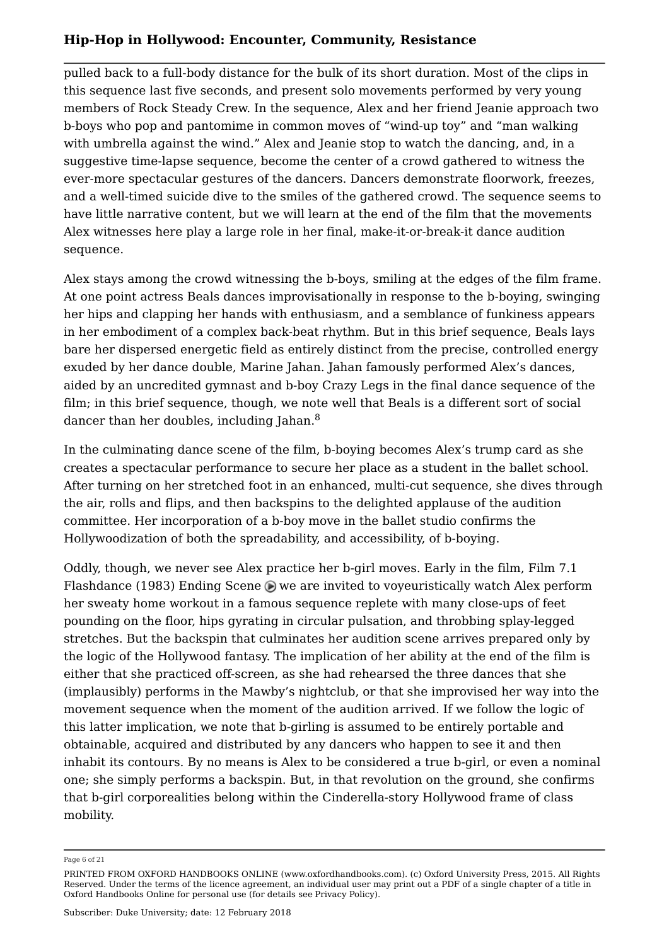pulled back to a full-body distance for the bulk of its short duration. Most of the clips in this sequence last five seconds, and present solo movements performed by very young members of Rock Steady Crew. In the sequence, Alex and her friend Jeanie approach two b-boys who pop and pantomime in common moves of "wind-up toy" and "man walking with umbrella against the wind." Alex and Jeanie stop to watch the dancing, and, in a suggestive time-lapse sequence, become the center of a crowd gathered to witness the ever-more spectacular gestures of the dancers. Dancers demonstrate floorwork, freezes, and a well-timed suicide dive to the smiles of the gathered crowd. The sequence seems to have little narrative content, but we will learn at the end of the film that the movements Alex witnesses here play a large role in her final, make-it-or-break-it dance audition sequence.

Alex stays among the crowd witnessing the b-boys, smiling at the edges of the film frame. At one point actress Beals dances improvisationally in response to the b-boying, swinging her hips and clapping her hands with enthusiasm, and a semblance of funkiness appears in her embodiment of a complex back-beat rhythm. But in this brief sequence, Beals lays bare her dispersed energetic field as entirely distinct from the precise, controlled energy exuded by her dance double, Marine Jahan. Jahan famously performed Alex's dances, aided by an uncredited gymnast and b-boy Crazy Legs in the final dance sequence of the film; in this brief sequence, though, we note well that Beals is a different sort of social dancer than her doubles, including Jahan. 8

In the culminating dance scene of the film, b-boying becomes Alex's trump card as she creates a spectacular performance to secure her place as a student in the ballet school. After turning on her stretched foot in an enhanced, multi-cut sequence, she dives through the air, rolls and flips, and then backspins to the delighted applause of the audition committee. Her incorporation of a b-boy move in the ballet studio confirms the Hollywoodization of both the spreadability, and accessibility, of b-boying.

Oddly, though, we never see Alex practice her b-girl moves. Early in the film, Film 7.1 Flashdance (1983) Ending Scene  $\odot$  we are invited to voyeuristically watch Alex perform her sweaty home workout in a famous sequence replete with many close-ups of feet pounding on the floor, hips gyrating in circular pulsation, and throbbing splay-legged stretches. But the backspin that culminates her audition scene arrives prepared only by the logic of the Hollywood fantasy. The implication of her ability at the end of the film is either that she practiced off-screen, as she had rehearsed the three dances that she (implausibly) performs in the Mawby's nightclub, or that she improvised her way into the movement sequence when the moment of the audition arrived. If we follow the logic of this latter implication, we note that b-girling is assumed to be entirely portable and obtainable, acquired and distributed by any dancers who happen to see it and then inhabit its contours. By no means is Alex to be considered a true b-girl, or even a nominal one; she simply performs a backspin. But, in that revolution on the ground, she confirms that b-girl corporealities belong within the Cinderella-story Hollywood frame of class mobility.

Page 6 of 21

PRINTED FROM OXFORD HANDBOOKS ONLINE (www.oxfordhandbooks.com). (c) Oxford University Press, 2015. All Rights Reserved. Under the terms of the licence agreement, an individual user may print out a PDF of a single chapter of a title in Oxford Handbooks Online for personal use (for details see Privacy Policy).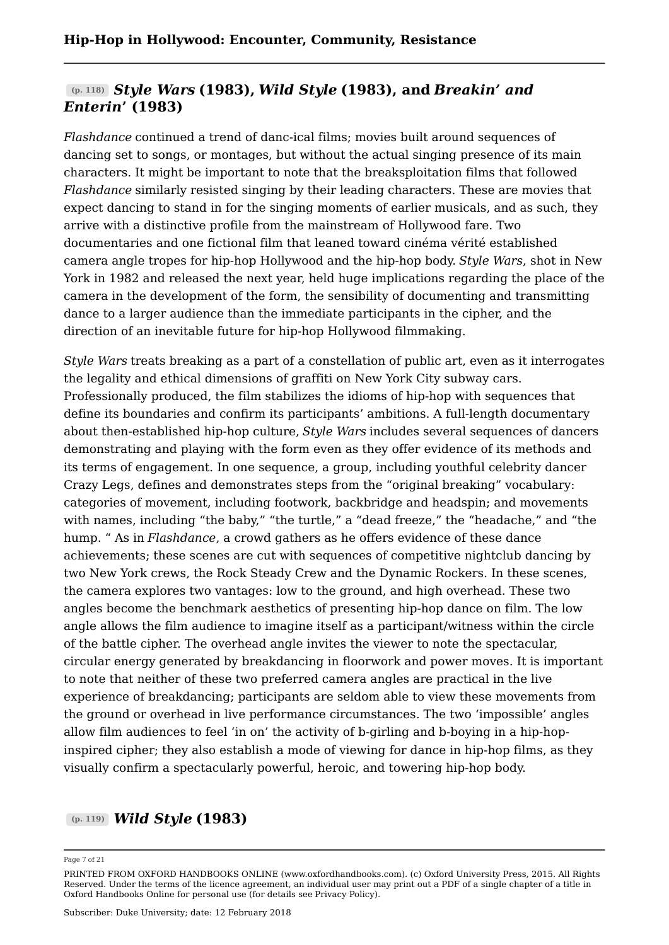## *Style Wars* **(1983),** *Wild Style* **(1983), and** *Breakin' and* **(p. 118)** *Enterin***' (1983)**

*Flashdance* continued a trend of danc-ical films; movies built around sequences of dancing set to songs, or montages, but without the actual singing presence of its main characters. It might be important to note that the breaksploitation films that followed *Flashdance* similarly resisted singing by their leading characters. These are movies that expect dancing to stand in for the singing moments of earlier musicals, and as such, they arrive with a distinctive profile from the mainstream of Hollywood fare. Two documentaries and one fictional film that leaned toward cinéma vérité established camera angle tropes for hip-hop Hollywood and the hip-hop body. *Style Wars*, shot in New York in 1982 and released the next year, held huge implications regarding the place of the camera in the development of the form, the sensibility of documenting and transmitting dance to a larger audience than the immediate participants in the cipher, and the direction of an inevitable future for hip-hop Hollywood filmmaking.

*Style Wars* treats breaking as a part of a constellation of public art, even as it interrogates the legality and ethical dimensions of graffiti on New York City subway cars. Professionally produced, the film stabilizes the idioms of hip-hop with sequences that define its boundaries and confirm its participants' ambitions. A full-length documentary about then-established hip-hop culture, *Style Wars* includes several sequences of dancers demonstrating and playing with the form even as they offer evidence of its methods and its terms of engagement. In one sequence, a group, including youthful celebrity dancer Crazy Legs, defines and demonstrates steps from the "original breaking" vocabulary: categories of movement, including footwork, backbridge and headspin; and movements with names, including "the baby," "the turtle," a "dead freeze," the "headache," and "the hump. " As in *Flashdance*, a crowd gathers as he offers evidence of these dance achievements; these scenes are cut with sequences of competitive nightclub dancing by two New York crews, the Rock Steady Crew and the Dynamic Rockers. In these scenes, the camera explores two vantages: low to the ground, and high overhead. These two angles become the benchmark aesthetics of presenting hip-hop dance on film. The low angle allows the film audience to imagine itself as a participant/witness within the circle of the battle cipher. The overhead angle invites the viewer to note the spectacular, circular energy generated by breakdancing in floorwork and power moves. It is important to note that neither of these two preferred camera angles are practical in the live experience of breakdancing; participants are seldom able to view these movements from the ground or overhead in live performance circumstances. The two 'impossible' angles allow film audiences to feel 'in on' the activity of b-girling and b-boying in a hip-hopinspired cipher; they also establish a mode of viewing for dance in hip-hop films, as they visually confirm a spectacularly powerful, heroic, and towering hip-hop body.

### *Wild Style* **(1983) (p. 119)**

Page 7 of 21

PRINTED FROM OXFORD HANDBOOKS ONLINE (www.oxfordhandbooks.com). (c) Oxford University Press, 2015. All Rights Reserved. Under the terms of the licence agreement, an individual user may print out a PDF of a single chapter of a title in Oxford Handbooks Online for personal use (for details see Privacy Policy).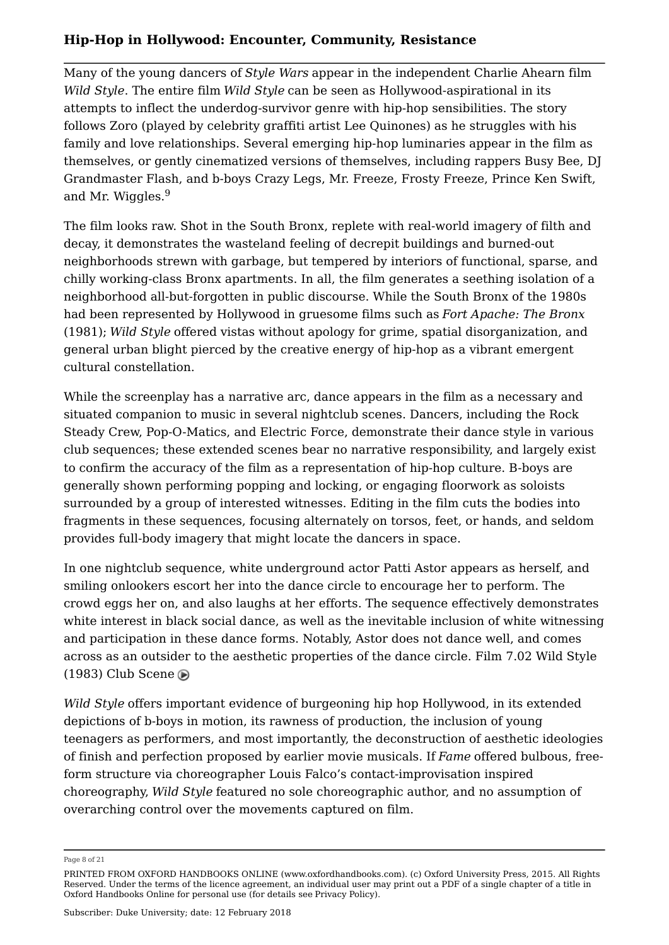Many of the young dancers of *Style Wars* appear in the independent Charlie Ahearn film *Wild Style*. The entire film *Wild Style* can be seen as Hollywood-aspirational in its attempts to inflect the underdog-survivor genre with hip-hop sensibilities. The story follows Zoro (played by celebrity graffiti artist Lee Quinones) as he struggles with his family and love relationships. Several emerging hip-hop luminaries appear in the film as themselves, or gently cinematized versions of themselves, including rappers Busy Bee, DJ Grandmaster Flash, and b-boys Crazy Legs, Mr. Freeze, Frosty Freeze, Prince Ken Swift, and Mr. Wiggles. $^9$ 

The film looks raw. Shot in the South Bronx, replete with real-world imagery of filth and decay, it demonstrates the wasteland feeling of decrepit buildings and burned-out neighborhoods strewn with garbage, but tempered by interiors of functional, sparse, and chilly working-class Bronx apartments. In all, the film generates a seething isolation of a neighborhood all-but-forgotten in public discourse. While the South Bronx of the 1980s had been represented by Hollywood in gruesome films such as *Fort Apache: The Bronx* (1981); *Wild Style* offered vistas without apology for grime, spatial disorganization, and general urban blight pierced by the creative energy of hip-hop as a vibrant emergent cultural constellation.

While the screenplay has a narrative arc, dance appears in the film as a necessary and situated companion to music in several nightclub scenes. Dancers, including the Rock Steady Crew, Pop-O-Matics, and Electric Force, demonstrate their dance style in various club sequences; these extended scenes bear no narrative responsibility, and largely exist to confirm the accuracy of the film as a representation of hip-hop culture. B-boys are generally shown performing popping and locking, or engaging floorwork as soloists surrounded by a group of interested witnesses. Editing in the film cuts the bodies into fragments in these sequences, focusing alternately on torsos, feet, or hands, and seldom provides full-body imagery that might locate the dancers in space.

In one nightclub sequence, white underground actor Patti Astor appears as herself, and smiling onlookers escort her into the dance circle to encourage her to perform. The crowd eggs her on, and also laughs at her efforts. The sequence effectively demonstrates white interest in black social dance, as well as the inevitable inclusion of white witnessing and participation in these dance forms. Notably, Astor does not dance well, and comes across as an outsider to the aesthetic properties of the dance circle. Film 7.02 Wild Style (1983) Club Scene

*Wild Style* offers important evidence of burgeoning hip hop Hollywood, in its extended depictions of b-boys in motion, its rawness of production, the inclusion of young teenagers as performers, and most importantly, the deconstruction of aesthetic ideologies of finish and perfection proposed by earlier movie musicals. If *Fame* offered bulbous, freeform structure via choreographer Louis Falco's contact-improvisation inspired choreography, *Wild Style* featured no sole choreographic author, and no assumption of overarching control over the movements captured on film.

Page 8 of 21

PRINTED FROM OXFORD HANDBOOKS ONLINE (www.oxfordhandbooks.com). (c) Oxford University Press, 2015. All Rights Reserved. Under the terms of the licence agreement, an individual user may print out a PDF of a single chapter of a title in Oxford Handbooks Online for personal use (for details see Privacy Policy).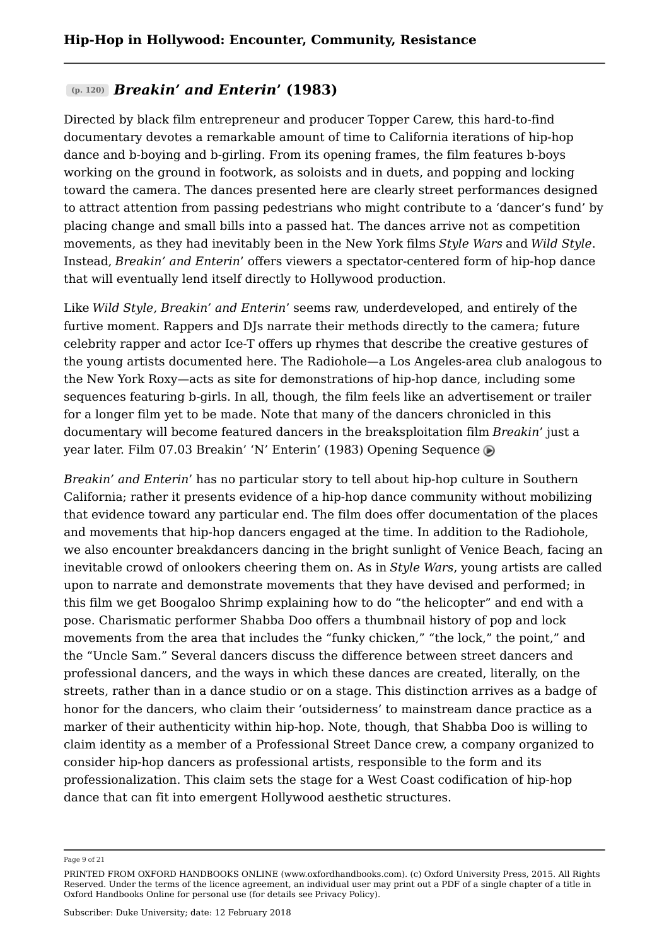#### *Breakin' and Enterin***' (1983) (p. 120)**

Directed by black film entrepreneur and producer Topper Carew, this hard-to-find documentary devotes a remarkable amount of time to California iterations of hip-hop dance and b-boying and b-girling. From its opening frames, the film features b-boys working on the ground in footwork, as soloists and in duets, and popping and locking toward the camera. The dances presented here are clearly street performances designed to attract attention from passing pedestrians who might contribute to a 'dancer's fund' by placing change and small bills into a passed hat. The dances arrive not as competition movements, as they had inevitably been in the New York films *Style Wars* and *Wild Style*. Instead, *Breakin' and Enterin*' offers viewers a spectator-centered form of hip-hop dance that will eventually lend itself directly to Hollywood production.

Like *Wild Style, Breakin' and Enterin*' seems raw, underdeveloped, and entirely of the furtive moment. Rappers and DJs narrate their methods directly to the camera; future celebrity rapper and actor Ice-T offers up rhymes that describe the creative gestures of the young artists documented here. The Radiohole—a Los Angeles-area club analogous to the New York Roxy—acts as site for demonstrations of hip-hop dance, including some sequences featuring b-girls. In all, though, the film feels like an advertisement or trailer for a longer film yet to be made. Note that many of the dancers chronicled in this documentary will become featured dancers in the breaksploitation film *Breakin*' just a year later. Film 07.03 Breakin' 'N' Enterin' (1983) Opening Sequence

*Breakin' and Enterin*' has no particular story to tell about hip-hop culture in Southern California; rather it presents evidence of a hip-hop dance community without mobilizing that evidence toward any particular end. The film does offer documentation of the places and movements that hip-hop dancers engaged at the time. In addition to the Radiohole, we also encounter breakdancers dancing in the bright sunlight of Venice Beach, facing an inevitable crowd of onlookers cheering them on. As in *Style Wars*, young artists are called upon to narrate and demonstrate movements that they have devised and performed; in this film we get Boogaloo Shrimp explaining how to do "the helicopter" and end with a pose. Charismatic performer Shabba Doo offers a thumbnail history of pop and lock movements from the area that includes the "funky chicken," "the lock," the point," and the "Uncle Sam." Several dancers discuss the difference between street dancers and professional dancers, and the ways in which these dances are created, literally, on the streets, rather than in a dance studio or on a stage. This distinction arrives as a badge of honor for the dancers, who claim their 'outsiderness' to mainstream dance practice as a marker of their authenticity within hip-hop. Note, though, that Shabba Doo is willing to claim identity as a member of a Professional Street Dance crew, a company organized to consider hip-hop dancers as professional artists, responsible to the form and its professionalization. This claim sets the stage for a West Coast codification of hip-hop dance that can fit into emergent Hollywood aesthetic structures.

Page 9 of 21

PRINTED FROM OXFORD HANDBOOKS ONLINE (www.oxfordhandbooks.com). (c) Oxford University Press, 2015. All Rights Reserved. Under the terms of the licence agreement, an individual user may print out a PDF of a single chapter of a title in Oxford Handbooks Online for personal use (for details see Privacy Policy).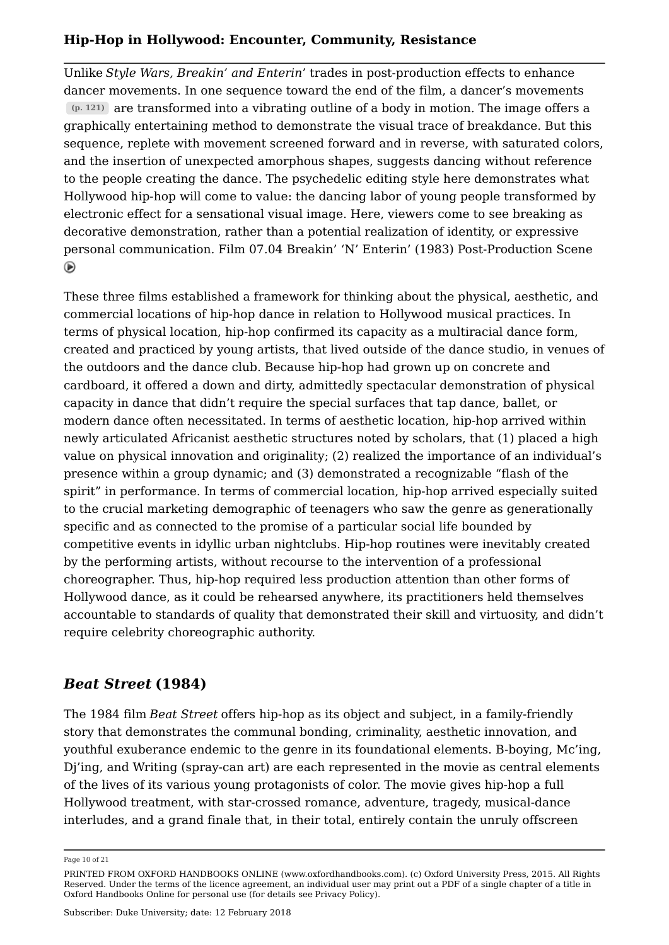Unlike *Style Wars, Breakin' and Enterin*' trades in post-production effects to enhance dancer movements. In one sequence toward the end of the film, a dancer's movements are transformed into a vibrating outline of a body in motion. The image offers a **(p. 121)** graphically entertaining method to demonstrate the visual trace of breakdance. But this sequence, replete with movement screened forward and in reverse, with saturated colors, and the insertion of unexpected amorphous shapes, suggests dancing without reference to the people creating the dance. The psychedelic editing style here demonstrates what Hollywood hip-hop will come to value: the dancing labor of young people transformed by electronic effect for a sensational visual image. Here, viewers come to see breaking as decorative demonstration, rather than a potential realization of identity, or expressive personal communication. Film 07.04 Breakin' 'N' Enterin' (1983) Post-Production Scene ◉

These three films established a framework for thinking about the physical, aesthetic, and commercial locations of hip-hop dance in relation to Hollywood musical practices. In terms of physical location, hip-hop confirmed its capacity as a multiracial dance form, created and practiced by young artists, that lived outside of the dance studio, in venues of the outdoors and the dance club. Because hip-hop had grown up on concrete and cardboard, it offered a down and dirty, admittedly spectacular demonstration of physical capacity in dance that didn't require the special surfaces that tap dance, ballet, or modern dance often necessitated. In terms of aesthetic location, hip-hop arrived within newly articulated Africanist aesthetic structures noted by scholars, that (1) placed a high value on physical innovation and originality; (2) realized the importance of an individual's presence within a group dynamic; and (3) demonstrated a recognizable "flash of the spirit" in performance. In terms of commercial location, hip-hop arrived especially suited to the crucial marketing demographic of teenagers who saw the genre as generationally specific and as connected to the promise of a particular social life bounded by competitive events in idyllic urban nightclubs. Hip-hop routines were inevitably created by the performing artists, without recourse to the intervention of a professional choreographer. Thus, hip-hop required less production attention than other forms of Hollywood dance, as it could be rehearsed anywhere, its practitioners held themselves accountable to standards of quality that demonstrated their skill and virtuosity, and didn't require celebrity choreographic authority.

## *Beat Street* **(1984)**

The 1984 film *Beat Street* offers hip-hop as its object and subject, in a family-friendly story that demonstrates the communal bonding, criminality, aesthetic innovation, and youthful exuberance endemic to the genre in its foundational elements. B-boying, Mc'ing, Dj'ing, and Writing (spray-can art) are each represented in the movie as central elements of the lives of its various young protagonists of color. The movie gives hip-hop a full Hollywood treatment, with star-crossed romance, adventure, tragedy, musical-dance interludes, and a grand finale that, in their total, entirely contain the unruly offscreen

Page 10 of 21

PRINTED FROM OXFORD HANDBOOKS ONLINE (www.oxfordhandbooks.com). (c) Oxford University Press, 2015. All Rights Reserved. Under the terms of the licence agreement, an individual user may print out a PDF of a single chapter of a title in Oxford Handbooks Online for personal use (for details see Privacy Policy).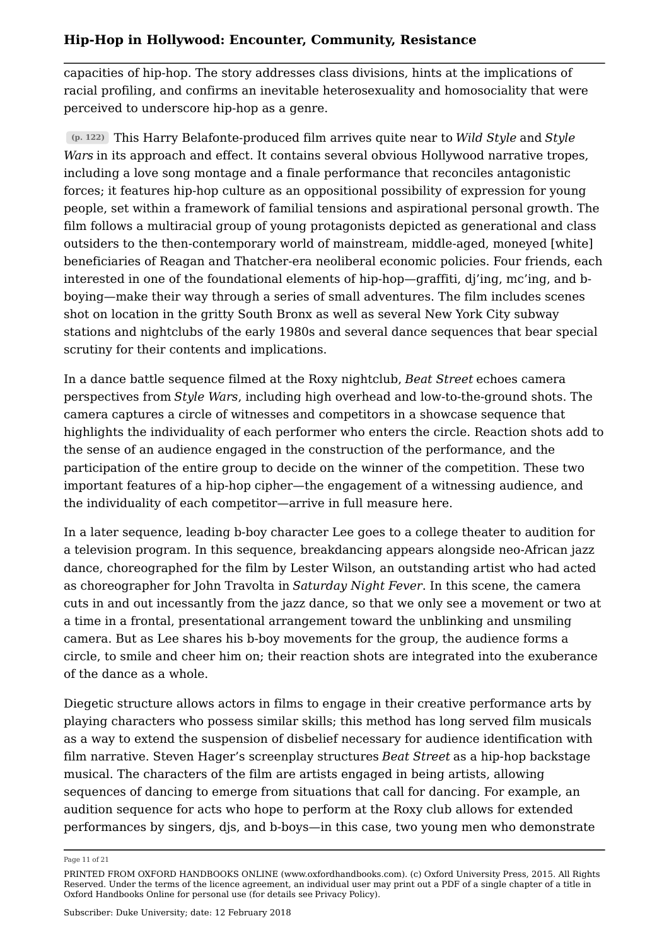capacities of hip-hop. The story addresses class divisions, hints at the implications of racial profiling, and confirms an inevitable heterosexuality and homosociality that were perceived to underscore hip-hop as a genre.

This Harry Belafonte-produced film arrives quite near to *Wild Style* and *Style* **(p. 122)** *Wars* in its approach and effect. It contains several obvious Hollywood narrative tropes, including a love song montage and a finale performance that reconciles antagonistic forces; it features hip-hop culture as an oppositional possibility of expression for young people, set within a framework of familial tensions and aspirational personal growth. The film follows a multiracial group of young protagonists depicted as generational and class outsiders to the then-contemporary world of mainstream, middle-aged, moneyed [white] beneficiaries of Reagan and Thatcher-era neoliberal economic policies. Four friends, each interested in one of the foundational elements of hip-hop—graffiti, dj'ing, mc'ing, and bboying—make their way through a series of small adventures. The film includes scenes shot on location in the gritty South Bronx as well as several New York City subway stations and nightclubs of the early 1980s and several dance sequences that bear special scrutiny for their contents and implications.

In a dance battle sequence filmed at the Roxy nightclub, *Beat Street* echoes camera perspectives from *Style Wars*, including high overhead and low-to-the-ground shots. The camera captures a circle of witnesses and competitors in a showcase sequence that highlights the individuality of each performer who enters the circle. Reaction shots add to the sense of an audience engaged in the construction of the performance, and the participation of the entire group to decide on the winner of the competition. These two important features of a hip-hop cipher—the engagement of a witnessing audience, and the individuality of each competitor—arrive in full measure here.

In a later sequence, leading b-boy character Lee goes to a college theater to audition for a television program. In this sequence, breakdancing appears alongside neo-African jazz dance, choreographed for the film by Lester Wilson, an outstanding artist who had acted as choreographer for John Travolta in *Saturday Night Fever*. In this scene, the camera cuts in and out incessantly from the jazz dance, so that we only see a movement or two at a time in a frontal, presentational arrangement toward the unblinking and unsmiling camera. But as Lee shares his b-boy movements for the group, the audience forms a circle, to smile and cheer him on; their reaction shots are integrated into the exuberance of the dance as a whole.

Diegetic structure allows actors in films to engage in their creative performance arts by playing characters who possess similar skills; this method has long served film musicals as a way to extend the suspension of disbelief necessary for audience identification with film narrative. Steven Hager's screenplay structures *Beat Street* as a hip-hop backstage musical. The characters of the film are artists engaged in being artists, allowing sequences of dancing to emerge from situations that call for dancing. For example, an audition sequence for acts who hope to perform at the Roxy club allows for extended performances by singers, djs, and b-boys—in this case, two young men who demonstrate

Page 11 of 21

PRINTED FROM OXFORD HANDBOOKS ONLINE (www.oxfordhandbooks.com). (c) Oxford University Press, 2015. All Rights Reserved. Under the terms of the licence agreement, an individual user may print out a PDF of a single chapter of a title in Oxford Handbooks Online for personal use (for details see Privacy Policy).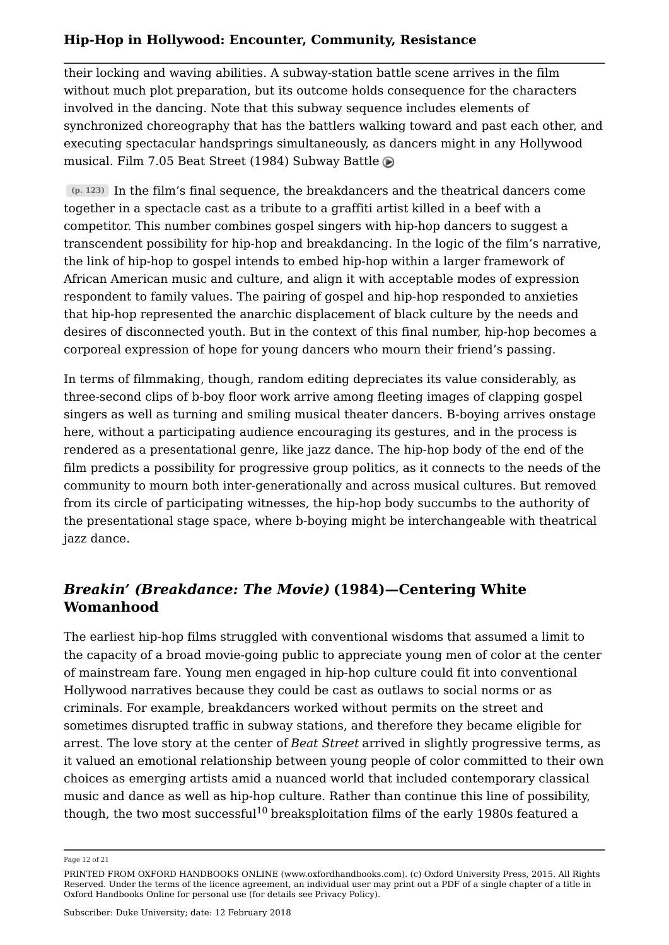their locking and waving abilities. A subway-station battle scene arrives in the film without much plot preparation, but its outcome holds consequence for the characters involved in the dancing. Note that this subway sequence includes elements of synchronized choreography that has the battlers walking toward and past each other, and executing spectacular handsprings simultaneously, as dancers might in any Hollywood musical. Film 7.05 Beat Street (1984) Subway Battle

In the film's final sequence, the breakdancers and the theatrical dancers come **(p. 123)** together in a spectacle cast as a tribute to a graffiti artist killed in a beef with a competitor. This number combines gospel singers with hip-hop dancers to suggest a transcendent possibility for hip-hop and breakdancing. In the logic of the film's narrative, the link of hip-hop to gospel intends to embed hip-hop within a larger framework of African American music and culture, and align it with acceptable modes of expression respondent to family values. The pairing of gospel and hip-hop responded to anxieties that hip-hop represented the anarchic displacement of black culture by the needs and desires of disconnected youth. But in the context of this final number, hip-hop becomes a corporeal expression of hope for young dancers who mourn their friend's passing.

In terms of filmmaking, though, random editing depreciates its value considerably, as three-second clips of b-boy floor work arrive among fleeting images of clapping gospel singers as well as turning and smiling musical theater dancers. B-boying arrives onstage here, without a participating audience encouraging its gestures, and in the process is rendered as a presentational genre, like jazz dance. The hip-hop body of the end of the film predicts a possibility for progressive group politics, as it connects to the needs of the community to mourn both inter-generationally and across musical cultures. But removed from its circle of participating witnesses, the hip-hop body succumbs to the authority of the presentational stage space, where b-boying might be interchangeable with theatrical jazz dance.

## *Breakin' (Breakdance: The Movie)* **(1984)—Centering White Womanhood**

The earliest hip-hop films struggled with conventional wisdoms that assumed a limit to the capacity of a broad movie-going public to appreciate young men of color at the center of mainstream fare. Young men engaged in hip-hop culture could fit into conventional Hollywood narratives because they could be cast as outlaws to social norms or as criminals. For example, breakdancers worked without permits on the street and sometimes disrupted traffic in subway stations, and therefore they became eligible for arrest. The love story at the center of *Beat Street* arrived in slightly progressive terms, as it valued an emotional relationship between young people of color committed to their own choices as emerging artists amid a nuanced world that included contemporary classical music and dance as well as hip-hop culture. Rather than continue this line of possibility, though, the two most successful $^{10}$  breaksploitation films of the early 1980s featured a

Page 12 of 21

PRINTED FROM OXFORD HANDBOOKS ONLINE (www.oxfordhandbooks.com). (c) Oxford University Press, 2015. All Rights Reserved. Under the terms of the licence agreement, an individual user may print out a PDF of a single chapter of a title in Oxford Handbooks Online for personal use (for details see Privacy Policy).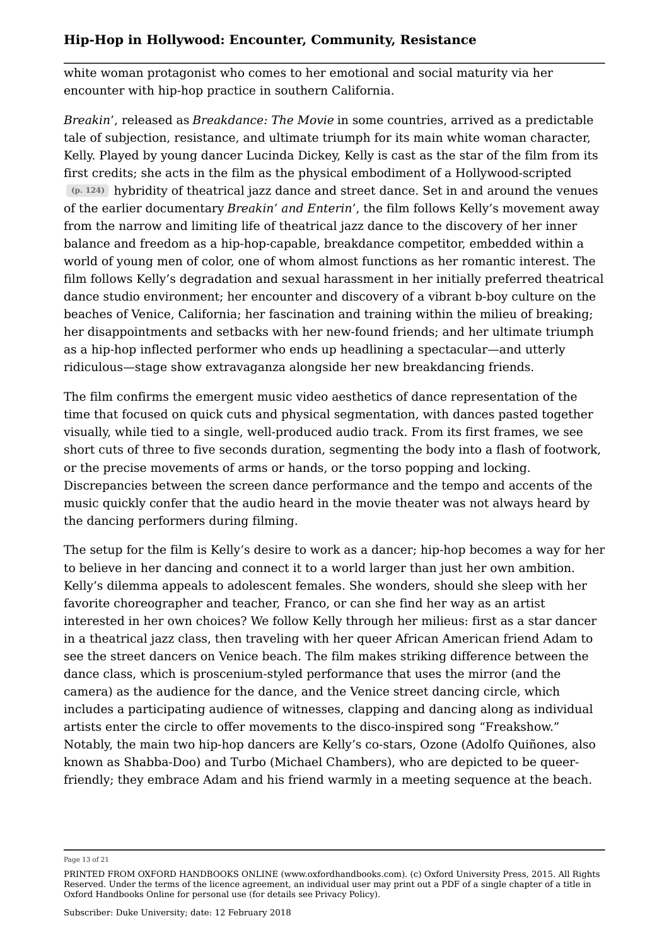white woman protagonist who comes to her emotional and social maturity via her encounter with hip-hop practice in southern California.

*Breakin*', released as *Breakdance: The Movie* in some countries, arrived as a predictable tale of subjection, resistance, and ultimate triumph for its main white woman character, Kelly. Played by young dancer Lucinda Dickey, Kelly is cast as the star of the film from its first credits; she acts in the film as the physical embodiment of a Hollywood-scripted hybridity of theatrical jazz dance and street dance. Set in and around the venues **(p. 124)** of the earlier documentary *Breakin' and Enterin*', the film follows Kelly's movement away from the narrow and limiting life of theatrical jazz dance to the discovery of her inner balance and freedom as a hip-hop-capable, breakdance competitor, embedded within a world of young men of color, one of whom almost functions as her romantic interest. The film follows Kelly's degradation and sexual harassment in her initially preferred theatrical dance studio environment; her encounter and discovery of a vibrant b-boy culture on the beaches of Venice, California; her fascination and training within the milieu of breaking; her disappointments and setbacks with her new-found friends; and her ultimate triumph as a hip-hop inflected performer who ends up headlining a spectacular—and utterly ridiculous—stage show extravaganza alongside her new breakdancing friends.

The film confirms the emergent music video aesthetics of dance representation of the time that focused on quick cuts and physical segmentation, with dances pasted together visually, while tied to a single, well-produced audio track. From its first frames, we see short cuts of three to five seconds duration, segmenting the body into a flash of footwork, or the precise movements of arms or hands, or the torso popping and locking. Discrepancies between the screen dance performance and the tempo and accents of the music quickly confer that the audio heard in the movie theater was not always heard by the dancing performers during filming.

The setup for the film is Kelly's desire to work as a dancer; hip-hop becomes a way for her to believe in her dancing and connect it to a world larger than just her own ambition. Kelly's dilemma appeals to adolescent females. She wonders, should she sleep with her favorite choreographer and teacher, Franco, or can she find her way as an artist interested in her own choices? We follow Kelly through her milieus: first as a star dancer in a theatrical jazz class, then traveling with her queer African American friend Adam to see the street dancers on Venice beach. The film makes striking difference between the dance class, which is proscenium-styled performance that uses the mirror (and the camera) as the audience for the dance, and the Venice street dancing circle, which includes a participating audience of witnesses, clapping and dancing along as individual artists enter the circle to offer movements to the disco-inspired song "Freakshow." Notably, the main two hip-hop dancers are Kelly's co-stars, Ozone (Adolfo Quiñones, also known as Shabba-Doo) and Turbo (Michael Chambers), who are depicted to be queerfriendly; they embrace Adam and his friend warmly in a meeting sequence at the beach.

Page 13 of 21

PRINTED FROM OXFORD HANDBOOKS ONLINE (www.oxfordhandbooks.com). (c) Oxford University Press, 2015. All Rights Reserved. Under the terms of the licence agreement, an individual user may print out a PDF of a single chapter of a title in Oxford Handbooks Online for personal use (for details see Privacy Policy).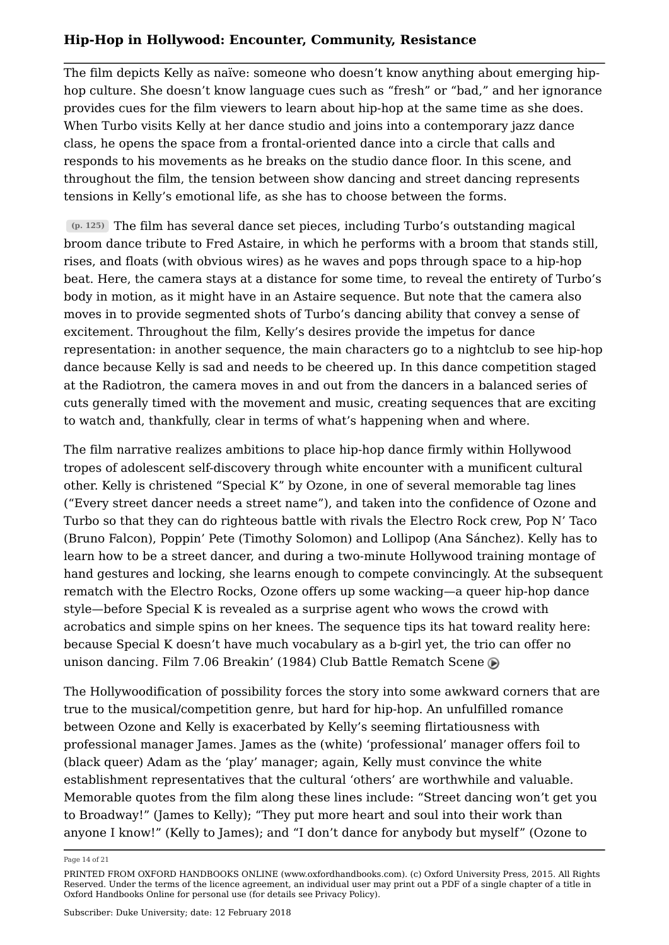The film depicts Kelly as naïve: someone who doesn't know anything about emerging hiphop culture. She doesn't know language cues such as "fresh" or "bad," and her ignorance provides cues for the film viewers to learn about hip-hop at the same time as she does. When Turbo visits Kelly at her dance studio and joins into a contemporary jazz dance class, he opens the space from a frontal-oriented dance into a circle that calls and responds to his movements as he breaks on the studio dance floor. In this scene, and throughout the film, the tension between show dancing and street dancing represents tensions in Kelly's emotional life, as she has to choose between the forms.

The film has several dance set pieces, including Turbo's outstanding magical **(p. 125)** broom dance tribute to Fred Astaire, in which he performs with a broom that stands still, rises, and floats (with obvious wires) as he waves and pops through space to a hip-hop beat. Here, the camera stays at a distance for some time, to reveal the entirety of Turbo's body in motion, as it might have in an Astaire sequence. But note that the camera also moves in to provide segmented shots of Turbo's dancing ability that convey a sense of excitement. Throughout the film, Kelly's desires provide the impetus for dance representation: in another sequence, the main characters go to a nightclub to see hip-hop dance because Kelly is sad and needs to be cheered up. In this dance competition staged at the Radiotron, the camera moves in and out from the dancers in a balanced series of cuts generally timed with the movement and music, creating sequences that are exciting to watch and, thankfully, clear in terms of what's happening when and where.

The film narrative realizes ambitions to place hip-hop dance firmly within Hollywood tropes of adolescent self-discovery through white encounter with a munificent cultural other. Kelly is christened "Special K" by Ozone, in one of several memorable tag lines ("Every street dancer needs a street name"), and taken into the confidence of Ozone and Turbo so that they can do righteous battle with rivals the Electro Rock crew, Pop N' Taco (Bruno Falcon), Poppin' Pete (Timothy Solomon) and Lollipop (Ana Sánchez). Kelly has to learn how to be a street dancer, and during a two-minute Hollywood training montage of hand gestures and locking, she learns enough to compete convincingly. At the subsequent rematch with the Electro Rocks, Ozone offers up some wacking—a queer hip-hop dance style—before Special K is revealed as a surprise agent who wows the crowd with acrobatics and simple spins on her knees. The sequence tips its hat toward reality here: because Special K doesn't have much vocabulary as a b-girl yet, the trio can offer no unison dancing. Film 7.06 Breakin' (1984) Club Battle Rematch Scene

The Hollywoodification of possibility forces the story into some awkward corners that are true to the musical/competition genre, but hard for hip-hop. An unfulfilled romance between Ozone and Kelly is exacerbated by Kelly's seeming flirtatiousness with professional manager James. James as the (white) 'professional' manager offers foil to (black queer) Adam as the 'play' manager; again, Kelly must convince the white establishment representatives that the cultural 'others' are worthwhile and valuable. Memorable quotes from the film along these lines include: "Street dancing won't get you to Broadway!" (James to Kelly); "They put more heart and soul into their work than anyone I know!" (Kelly to James); and "I don't dance for anybody but myself" (Ozone to

Page 14 of 21

PRINTED FROM OXFORD HANDBOOKS ONLINE (www.oxfordhandbooks.com). (c) Oxford University Press, 2015. All Rights Reserved. Under the terms of the licence agreement, an individual user may print out a PDF of a single chapter of a title in Oxford Handbooks Online for personal use (for details see Privacy Policy).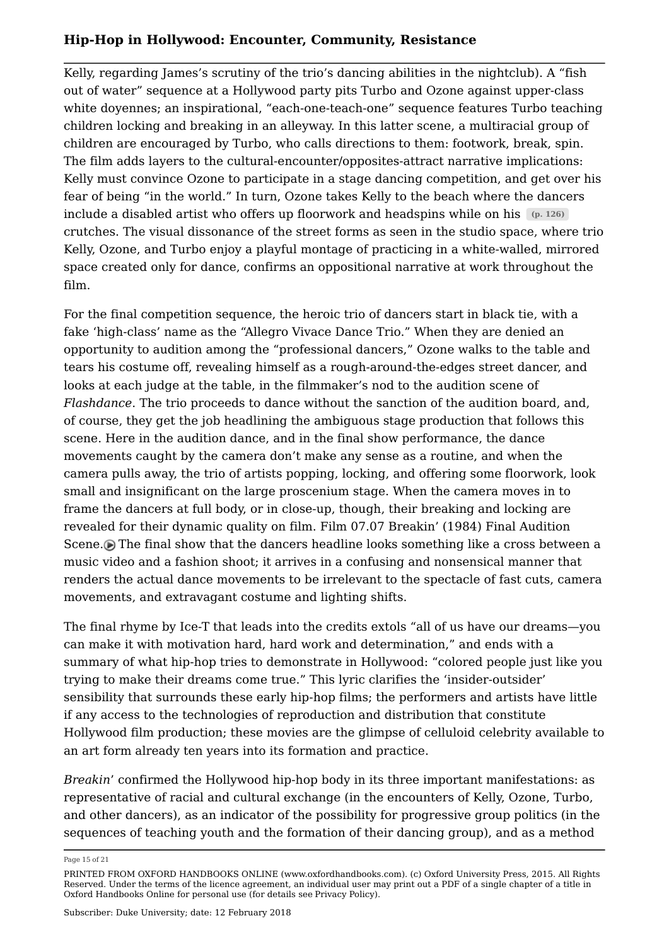Kelly, regarding James's scrutiny of the trio's dancing abilities in the nightclub). A "fish out of water" sequence at a Hollywood party pits Turbo and Ozone against upper-class white doyennes; an inspirational, "each-one-teach-one" sequence features Turbo teaching children locking and breaking in an alleyway. In this latter scene, a multiracial group of children are encouraged by Turbo, who calls directions to them: footwork, break, spin. The film adds layers to the cultural-encounter/opposites-attract narrative implications: Kelly must convince Ozone to participate in a stage dancing competition, and get over his fear of being "in the world." In turn, Ozone takes Kelly to the beach where the dancers include a disabled artist who offers up floorwork and headspins while on his **(p. 126)** crutches. The visual dissonance of the street forms as seen in the studio space, where trio Kelly, Ozone, and Turbo enjoy a playful montage of practicing in a white-walled, mirrored space created only for dance, confirms an oppositional narrative at work throughout the film.

For the final competition sequence, the heroic trio of dancers start in black tie, with a fake 'high-class' name as the "Allegro Vivace Dance Trio." When they are denied an opportunity to audition among the "professional dancers," Ozone walks to the table and tears his costume off, revealing himself as a rough-around-the-edges street dancer, and looks at each judge at the table, in the filmmaker's nod to the audition scene of *Flashdance*. The trio proceeds to dance without the sanction of the audition board, and, of course, they get the job headlining the ambiguous stage production that follows this scene. Here in the audition dance, and in the final show performance, the dance movements caught by the camera don't make any sense as a routine, and when the camera pulls away, the trio of artists popping, locking, and offering some floorwork, look small and insignificant on the large proscenium stage. When the camera moves in to frame the dancers at full body, or in close-up, though, their breaking and locking are revealed for their dynamic quality on film. Film 07.07 Breakin' (1984) Final Audition Scene. The final show that the dancers headline looks something like a cross between a music video and a fashion shoot; it arrives in a confusing and nonsensical manner that renders the actual dance movements to be irrelevant to the spectacle of fast cuts, camera movements, and extravagant costume and lighting shifts.

The final rhyme by Ice-T that leads into the credits extols "all of us have our dreams—you can make it with motivation hard, hard work and determination," and ends with a summary of what hip-hop tries to demonstrate in Hollywood: "colored people just like you trying to make their dreams come true." This lyric clarifies the 'insider-outsider' sensibility that surrounds these early hip-hop films; the performers and artists have little if any access to the technologies of reproduction and distribution that constitute Hollywood film production; these movies are the glimpse of celluloid celebrity available to an art form already ten years into its formation and practice.

*Breakin*' confirmed the Hollywood hip-hop body in its three important manifestations: as representative of racial and cultural exchange (in the encounters of Kelly, Ozone, Turbo, and other dancers), as an indicator of the possibility for progressive group politics (in the sequences of teaching youth and the formation of their dancing group), and as a method

Page 15 of 21

PRINTED FROM OXFORD HANDBOOKS ONLINE (www.oxfordhandbooks.com). (c) Oxford University Press, 2015. All Rights Reserved. Under the terms of the licence agreement, an individual user may print out a PDF of a single chapter of a title in Oxford Handbooks Online for personal use (for details see Privacy Policy).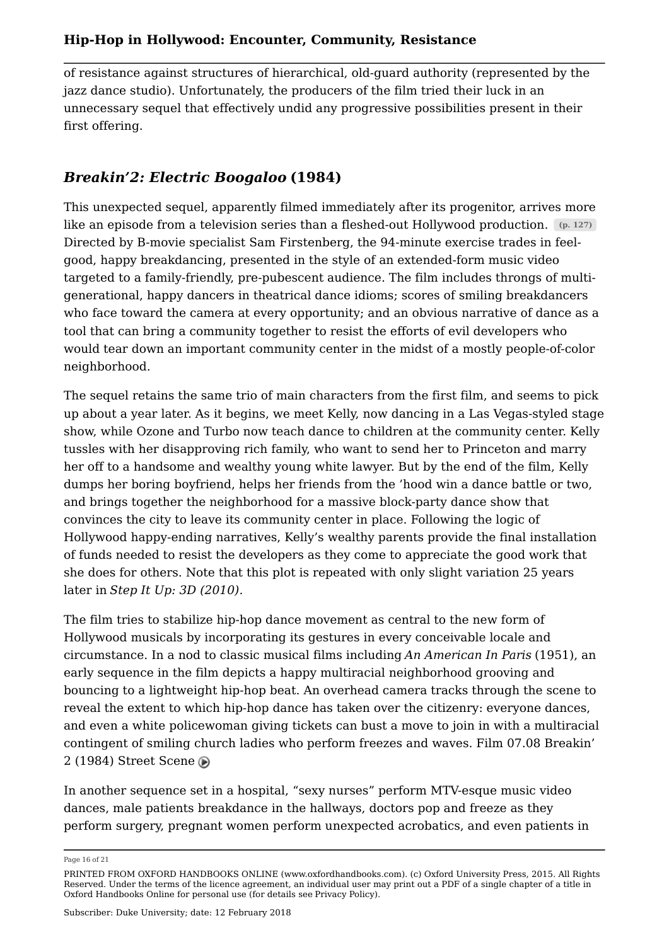of resistance against structures of hierarchical, old-guard authority (represented by the jazz dance studio). Unfortunately, the producers of the film tried their luck in an unnecessary sequel that effectively undid any progressive possibilities present in their first offering.

## *Breakin'2: Electric Boogaloo* **(1984)**

This unexpected sequel, apparently filmed immediately after its progenitor, arrives more like an episode from a television series than a fleshed-out Hollywood production. **(p. 127)** Directed by B-movie specialist Sam Firstenberg, the 94-minute exercise trades in feelgood, happy breakdancing, presented in the style of an extended-form music video targeted to a family-friendly, pre-pubescent audience. The film includes throngs of multigenerational, happy dancers in theatrical dance idioms; scores of smiling breakdancers who face toward the camera at every opportunity; and an obvious narrative of dance as a tool that can bring a community together to resist the efforts of evil developers who would tear down an important community center in the midst of a mostly people-of-color neighborhood.

The sequel retains the same trio of main characters from the first film, and seems to pick up about a year later. As it begins, we meet Kelly, now dancing in a Las Vegas-styled stage show, while Ozone and Turbo now teach dance to children at the community center. Kelly tussles with her disapproving rich family, who want to send her to Princeton and marry her off to a handsome and wealthy young white lawyer. But by the end of the film, Kelly dumps her boring boyfriend, helps her friends from the 'hood win a dance battle or two, and brings together the neighborhood for a massive block-party dance show that convinces the city to leave its community center in place. Following the logic of Hollywood happy-ending narratives, Kelly's wealthy parents provide the final installation of funds needed to resist the developers as they come to appreciate the good work that she does for others. Note that this plot is repeated with only slight variation 25 years later in *Step It Up: 3D (2010).*

The film tries to stabilize hip-hop dance movement as central to the new form of Hollywood musicals by incorporating its gestures in every conceivable locale and circumstance. In a nod to classic musical films including *An American In Paris* (1951), an early sequence in the film depicts a happy multiracial neighborhood grooving and bouncing to a lightweight hip-hop beat. An overhead camera tracks through the scene to reveal the extent to which hip-hop dance has taken over the citizenry: everyone dances, and even a white policewoman giving tickets can bust a move to join in with a multiracial contingent of smiling church ladies who perform freezes and waves. Film 07.08 Breakin' 2 (1984) Street Scene

In another sequence set in a hospital, "sexy nurses" perform MTV-esque music video dances, male patients breakdance in the hallways, doctors pop and freeze as they perform surgery, pregnant women perform unexpected acrobatics, and even patients in

Page 16 of 21

PRINTED FROM OXFORD HANDBOOKS ONLINE (www.oxfordhandbooks.com). (c) Oxford University Press, 2015. All Rights Reserved. Under the terms of the licence agreement, an individual user may print out a PDF of a single chapter of a title in Oxford Handbooks Online for personal use (for details see Privacy Policy).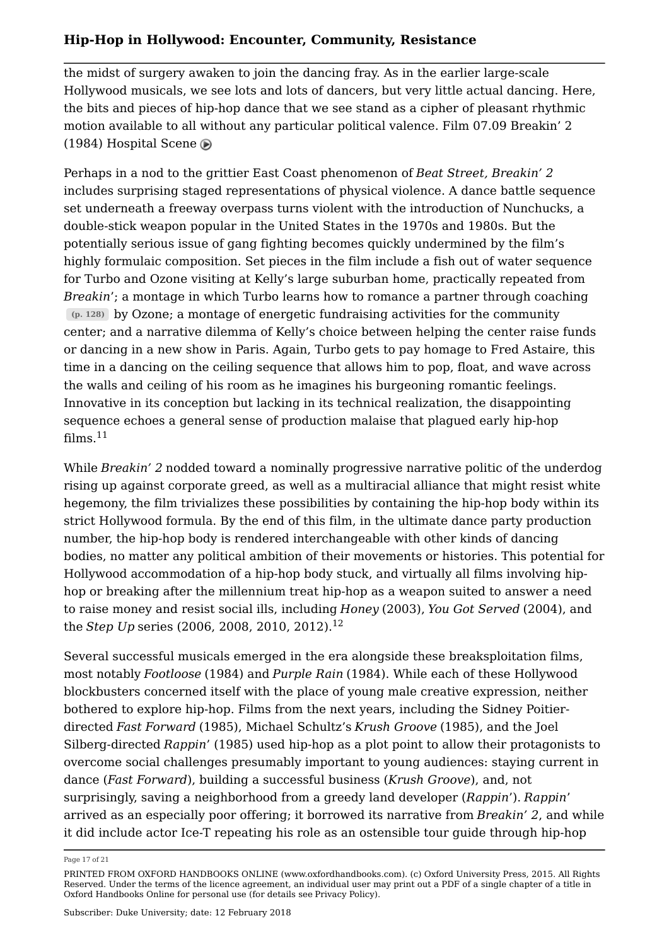the midst of surgery awaken to join the dancing fray. As in the earlier large-scale Hollywood musicals, we see lots and lots of dancers, but very little actual dancing. Here, the bits and pieces of hip-hop dance that we see stand as a cipher of pleasant rhythmic motion available to all without any particular political valence. Film 07.09 Breakin' 2 (1984) Hospital Scene  $\odot$ 

Perhaps in a nod to the grittier East Coast phenomenon of *Beat Street, Breakin' 2* includes surprising staged representations of physical violence. A dance battle sequence set underneath a freeway overpass turns violent with the introduction of Nunchucks, a double-stick weapon popular in the United States in the 1970s and 1980s. But the potentially serious issue of gang fighting becomes quickly undermined by the film's highly formulaic composition. Set pieces in the film include a fish out of water sequence for Turbo and Ozone visiting at Kelly's large suburban home, practically repeated from *Breakin*'; a montage in which Turbo learns how to romance a partner through coaching by Ozone; a montage of energetic fundraising activities for the community **(p. 128)** center; and a narrative dilemma of Kelly's choice between helping the center raise funds or dancing in a new show in Paris. Again, Turbo gets to pay homage to Fred Astaire, this time in a dancing on the ceiling sequence that allows him to pop, float, and wave across the walls and ceiling of his room as he imagines his burgeoning romantic feelings. Innovative in its conception but lacking in its technical realization, the disappointing sequence echoes a general sense of production malaise that plagued early hip-hop films. $11$ 11

While *Breakin' 2* nodded toward a nominally progressive narrative politic of the underdog rising up against corporate greed, as well as a multiracial alliance that might resist white hegemony, the film trivializes these possibilities by containing the hip-hop body within its strict Hollywood formula. By the end of this film, in the ultimate dance party production number, the hip-hop body is rendered interchangeable with other kinds of dancing bodies, no matter any political ambition of their movements or histories. This potential for Hollywood accommodation of a hip-hop body stuck, and virtually all films involving hiphop or breaking after the millennium treat hip-hop as a weapon suited to answer a need to raise money and resist social ills, including *Honey* (2003), *You Got Served* (2004), and the *Step Up* series (2006, 2008, 2010, 2012). 12

Several successful musicals emerged in the era alongside these breaksploitation films, most notably *Footloose* (1984) and *Purple Rain* (1984). While each of these Hollywood blockbusters concerned itself with the place of young male creative expression, neither bothered to explore hip-hop. Films from the next years, including the Sidney Poitierdirected *Fast Forward* (1985), Michael Schultz's *Krush Groove* (1985), and the Joel Silberg-directed *Rappin*' (1985) used hip-hop as a plot point to allow their protagonists to overcome social challenges presumably important to young audiences: staying current in dance (*Fast Forward*), building a successful business (*Krush Groove*), and, not surprisingly, saving a neighborhood from a greedy land developer (*Rappin*'). *Rappin*' arrived as an especially poor offering; it borrowed its narrative from *Breakin' 2*, and while it did include actor Ice-T repeating his role as an ostensible tour guide through hip-hop

Page 17 of 21

PRINTED FROM OXFORD HANDBOOKS ONLINE (www.oxfordhandbooks.com). (c) Oxford University Press, 2015. All Rights Reserved. Under the terms of the licence agreement, an individual user may print out a PDF of a single chapter of a title in Oxford Handbooks Online for personal use (for details see Privacy Policy).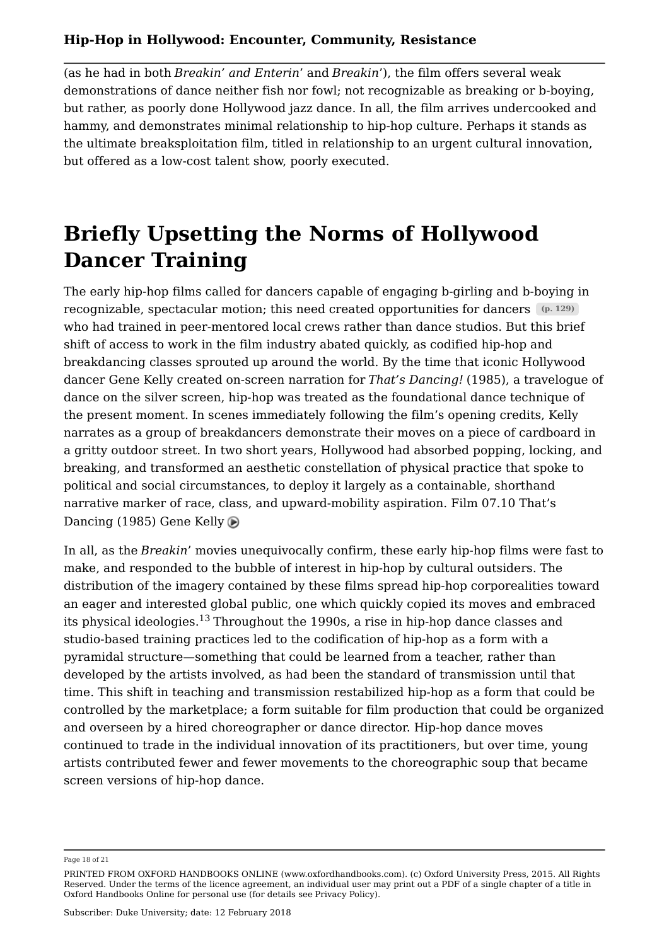(as he had in both *Breakin' and Enterin*' and *Breakin*'), the film offers several weak demonstrations of dance neither fish nor fowl; not recognizable as breaking or b-boying, but rather, as poorly done Hollywood jazz dance. In all, the film arrives undercooked and hammy, and demonstrates minimal relationship to hip-hop culture. Perhaps it stands as the ultimate breaksploitation film, titled in relationship to an urgent cultural innovation, but offered as a low-cost talent show, poorly executed.

## **Briefly Upsetting the Norms of Hollywood Dancer Training**

The early hip-hop films called for dancers capable of engaging b-girling and b-boying in recognizable, spectacular motion; this need created opportunities for dancers **(p. 129)** who had trained in peer-mentored local crews rather than dance studios. But this brief shift of access to work in the film industry abated quickly, as codified hip-hop and breakdancing classes sprouted up around the world. By the time that iconic Hollywood dancer Gene Kelly created on-screen narration for *That's Dancing!* (1985), a travelogue of dance on the silver screen, hip-hop was treated as the foundational dance technique of the present moment. In scenes immediately following the film's opening credits, Kelly narrates as a group of breakdancers demonstrate their moves on a piece of cardboard in a gritty outdoor street. In two short years, Hollywood had absorbed popping, locking, and breaking, and transformed an aesthetic constellation of physical practice that spoke to political and social circumstances, to deploy it largely as a containable, shorthand narrative marker of race, class, and upward-mobility aspiration. Film 07.10 That's Dancing (1985) Gene Kelly

In all, as the *Breakin*' movies unequivocally confirm, these early hip-hop films were fast to make, and responded to the bubble of interest in hip-hop by cultural outsiders. The distribution of the imagery contained by these films spread hip-hop corporealities toward an eager and interested global public, one which quickly copied its moves and embraced its physical ideologies. $^{13}$  Throughout the 1990s, a rise in hip-hop dance classes and studio-based training practices led to the codification of hip-hop as a form with a pyramidal structure—something that could be learned from a teacher, rather than developed by the artists involved, as had been the standard of transmission until that time. This shift in teaching and transmission restabilized hip-hop as a form that could be controlled by the marketplace; a form suitable for film production that could be organized and overseen by a hired choreographer or dance director. Hip-hop dance moves continued to trade in the individual innovation of its practitioners, but over time, young artists contributed fewer and fewer movements to the choreographic soup that became screen versions of hip-hop dance.

Page 18 of 21

PRINTED FROM OXFORD HANDBOOKS ONLINE (www.oxfordhandbooks.com). (c) Oxford University Press, 2015. All Rights Reserved. Under the terms of the licence agreement, an individual user may print out a PDF of a single chapter of a title in Oxford Handbooks Online for personal use (for details see Privacy Policy).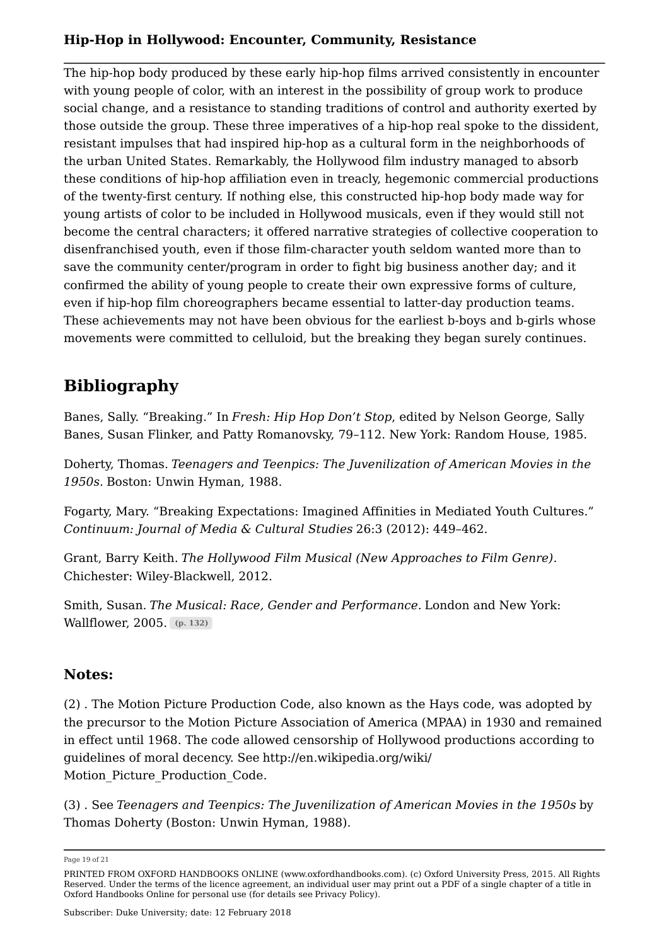The hip-hop body produced by these early hip-hop films arrived consistently in encounter with young people of color, with an interest in the possibility of group work to produce social change, and a resistance to standing traditions of control and authority exerted by those outside the group. These three imperatives of a hip-hop real spoke to the dissident, resistant impulses that had inspired hip-hop as a cultural form in the neighborhoods of the urban United States. Remarkably, the Hollywood film industry managed to absorb these conditions of hip-hop affiliation even in treacly, hegemonic commercial productions of the twenty-first century. If nothing else, this constructed hip-hop body made way for young artists of color to be included in Hollywood musicals, even if they would still not become the central characters; it offered narrative strategies of collective cooperation to disenfranchised youth, even if those film-character youth seldom wanted more than to save the community center/program in order to fight big business another day; and it confirmed the ability of young people to create their own expressive forms of culture, even if hip-hop film choreographers became essential to latter-day production teams. These achievements may not have been obvious for the earliest b-boys and b-girls whose movements were committed to celluloid, but the breaking they began surely continues.

## **Bibliography**

Banes, Sally. "Breaking." In *Fresh: Hip Hop Don't Stop*, edited by Nelson George, Sally Banes, Susan Flinker, and Patty Romanovsky, 79–112. New York: Random House, 1985.

Doherty, Thomas. *Teenagers and Teenpics: The Juvenilization of American Movies in the 1950s.* Boston: Unwin Hyman, 1988.

Fogarty, Mary. "Breaking Expectations: Imagined Affinities in Mediated Youth Cultures." *Continuum: Journal of Media & Cultural Studies* 26:3 (2012): 449–462.

Grant, Barry Keith. *The Hollywood Film Musical (New Approaches to Film Genre).* Chichester: Wiley-Blackwell, 2012.

Smith, Susan. *The Musical: Race, Gender and Performance.* London and New York: Wallflower, 2005. **(p. 132)**

## **Notes:**

(2) . The Motion Picture Production Code, also known as the Hays code, was adopted by the precursor to the Motion Picture Association of America (MPAA) in 1930 and remained in effect until 1968. The code allowed censorship of Hollywood productions according to guidelines of moral decency. See http://en.wikipedia.org/wiki/ Motion Picture Production Code.

(3) . See *Teenagers and Teenpics: The Juvenilization of American Movies in the 1950s* by Thomas Doherty (Boston: Unwin Hyman, 1988).

Page 19 of 21

PRINTED FROM OXFORD HANDBOOKS ONLINE (www.oxfordhandbooks.com). (c) Oxford University Press, 2015. All Rights Reserved. Under the terms of the licence agreement, an individual user may print out a PDF of a single chapter of a title in Oxford Handbooks Online for personal use (for details see Privacy Policy).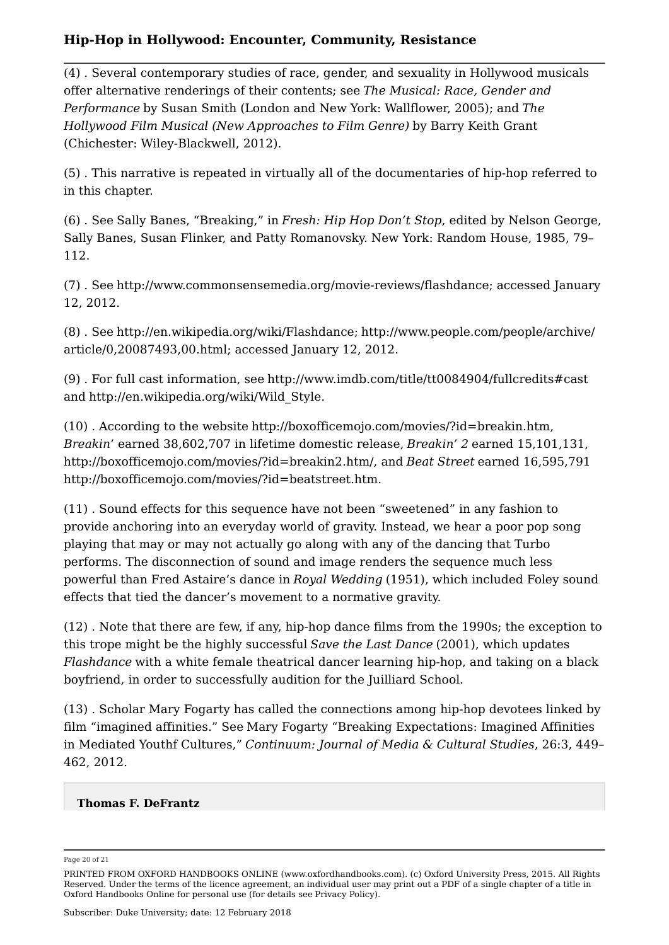(4) . Several contemporary studies of race, gender, and sexuality in Hollywood musicals offer alternative renderings of their contents; see *The Musical: Race, Gender and Performance* by Susan Smith (London and New York: Wallflower, 2005); and *The Hollywood Film Musical (New Approaches to Film Genre)* by Barry Keith Grant (Chichester: Wiley-Blackwell, 2012).

(5) . This narrative is repeated in virtually all of the documentaries of hip-hop referred to in this chapter.

(6) . See Sally Banes, "Breaking," in *Fresh: Hip Hop Don't Stop*, edited by Nelson George, Sally Banes, Susan Flinker, and Patty Romanovsky. New York: Random House, 1985, 79– 112.

(7) . See http://www.commonsensemedia.org/movie-reviews/flashdance; accessed January 12, 2012.

(8) . See http://en.wikipedia.org/wiki/Flashdance; http://www.people.com/people/archive/ article/0,20087493,00.html; accessed January 12, 2012.

(9) . For full cast information, see http://www.imdb.com/title/tt0084904/fullcredits#cast and http://en.wikipedia.org/wiki/Wild\_Style.

(10) . According to the website http://boxofficemojo.com/movies/?id=breakin.htm, *Breakin*' earned 38,602,707 in lifetime domestic release, *Breakin' 2* earned 15,101,131, http://boxofficemojo.com/movies/?id=breakin2.htm/, and *Beat Street* earned 16,595,791 http://boxofficemojo.com/movies/?id=beatstreet.htm.

(11) . Sound effects for this sequence have not been "sweetened" in any fashion to provide anchoring into an everyday world of gravity. Instead, we hear a poor pop song playing that may or may not actually go along with any of the dancing that Turbo performs. The disconnection of sound and image renders the sequence much less powerful than Fred Astaire's dance in *Royal Wedding* (1951), which included Foley sound effects that tied the dancer's movement to a normative gravity.

(12) . Note that there are few, if any, hip-hop dance films from the 1990s; the exception to this trope might be the highly successful *Save the Last Dance* (2001), which updates *Flashdance* with a white female theatrical dancer learning hip-hop, and taking on a black boyfriend, in order to successfully audition for the Juilliard School.

(13) . Scholar Mary Fogarty has called the connections among hip-hop devotees linked by film "imagined affinities." See Mary Fogarty "Breaking Expectations: Imagined Affinities in Mediated Youthf Cultures," *Continuum: Journal of Media & Cultural Studies*, 26:3, 449– 462, 2012.

#### **Thomas F. DeFrantz**

Page 20 of 21

PRINTED FROM OXFORD HANDBOOKS ONLINE (www.oxfordhandbooks.com). (c) Oxford University Press, 2015. All Rights Reserved. Under the terms of the licence agreement, an individual user may print out a PDF of a single chapter of a title in Oxford Handbooks Online for personal use (for details see Privacy Policy).